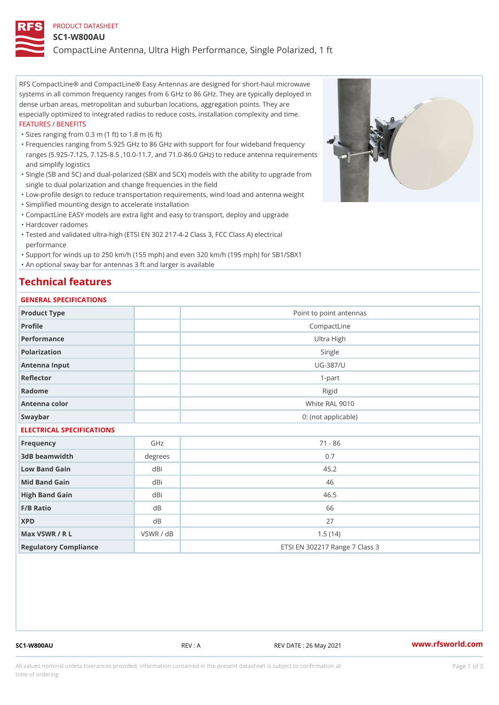#### PRODUCT DATASHEET

#### SC1-W800AU

CompactLine Antenna, Ultra High Performance, Single Polarized, 1 ft

RFS CompactLine® and CompactLine® Easy Antennas are designed for short-haul microwave systems in all common frequency ranges from 6 GHz to 86 GHz. They are typically deployed in dense urban areas, metropolitan and suburban locations, aggregation points. They are especially optimized to integrated radios to reduce costs, installation complexity and time. FEATURES / BENEFITS

"Sizes ranging from 0.3 m (1 ft) to 1.8 m (6 ft)

Frequencies ranging from 5.925 GHz to 86 GHz with support for four wideband frequency " ranges (5.925-7.125, 7.125-8.5 ,10.0-11.7, and 71.0-86.0 GHz) to reduce antenna requirements and simplify logistics

Single (SB and SC) and dual-polarized (SBX and SCX) models with the ability to upgrade from " single to dual polarization and change frequencies in the field

"Low-profile design to reduce transportation requirements, wind load and antenna weight

"Simplified mounting design to accelerate installation

 "CompactLine EASY models are extra light and easy to transport, deploy and upgrade "Hardcover radomes

Tested and validated ultra-high (ETSI EN 302 217-4-2 Class 3, FCC Class A) electrical " performance

 "Support for winds up to 250 km/h (155 mph) and even 320 km/h (195 mph) for SB1/SBX1 "An optional sway bar for antennas 3 ft and larger is available

# Technical features

### GENERAL SPECIFICATIONS

| GENERAL SELGIFICATIONS    |           |                                |  |  |  |  |
|---------------------------|-----------|--------------------------------|--|--|--|--|
| Product Type              |           | Point to point antennas        |  |  |  |  |
| Profile                   |           | CompactLine                    |  |  |  |  |
| Performance               |           | Ultra High                     |  |  |  |  |
| Polarization              |           | Single                         |  |  |  |  |
| Antenna Input             |           | UG-387/U                       |  |  |  |  |
| Reflector                 |           | $1 - p$ art                    |  |  |  |  |
| Radome                    |           | Rigid                          |  |  |  |  |
| Antenna color             |           | White RAL 9010                 |  |  |  |  |
| Swaybar                   |           | 0: (not applicable)            |  |  |  |  |
| ELECTRICAL SPECIFICATIONS |           |                                |  |  |  |  |
| Frequency                 | GHz       | $71 - 86$                      |  |  |  |  |
| 3dB beamwidth             | degree:   | 0.7                            |  |  |  |  |
| Low Band Gain             | dBi       | 45.2                           |  |  |  |  |
| Mid Band Gain             | dBi       | 46                             |  |  |  |  |
| High Band Gain            | dBi       | 46.5                           |  |  |  |  |
| F/B Ratio                 | d B       | 66                             |  |  |  |  |
| <b>XPD</b>                | d B       | 27                             |  |  |  |  |
| Max VSWR / R L            | VSWR / dB | 1.5(14)                        |  |  |  |  |
| Regulatory Compliance     |           | ETSI EN 302217 Range 7 Class 3 |  |  |  |  |

SC1-W800AU REV : A REV DATE : 26 May 2021 [www.](https://www.rfsworld.com)rfsworld.com

All values nominal unless tolerances provided; information contained in the present datasheet is subject to Pcapgeign mation time of ordering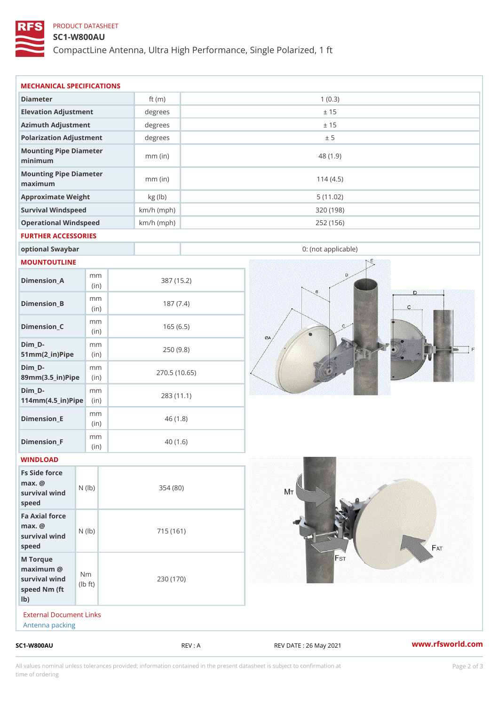### PRODUCT DATASHEET

# SC1-W800AU

CompactLine Antenna, Ultra High Performance, Single Polarized, 1 ft

| $SC1 - W800AU$                                                     |                                       |                      | REV : A      | REV DATE : 26 May 2021 | www.rfsworld.co |
|--------------------------------------------------------------------|---------------------------------------|----------------------|--------------|------------------------|-----------------|
| External Document Links<br>Antenna packing                         |                                       |                      |              |                        |                 |
| M Torque<br>$maximum$ @<br>survival wind<br>speed Nm (ft<br>$1b$ ) | N <sub>m</sub><br>$\dagger$ t)<br>I b | 230 (170)            |              |                        |                 |
| Fa Axial force<br>$max.$ @<br>survival wind (1b)<br>speed          |                                       | 715 (161)            |              |                        |                 |
| Fs Side force<br>$max.$ @<br>survival wind (1b)<br>speed           |                                       | 354(80)              |              |                        |                 |
| WINDLOAD                                                           |                                       |                      |              |                        |                 |
| $Dimension_F$                                                      | m m<br>$\vert$ (in)                   |                      | 40(1.6)      |                        |                 |
| $Dimension$ = E                                                    | m m<br>(i n)                          |                      | 46(1.8)      |                        |                 |
| $Dim_D -$<br>$114$ m m (4.5_ir) $\sqrt{$ imp $\approx$             | m m                                   |                      | 283 (11.1)   |                        |                 |
| $Dim_D - D -$<br>89mm (3.5_in) Pi(pine)                            | m m                                   |                      | 270.5(10.65) |                        |                 |
| $Dim_D - D -$<br>$51mm(2_in)Pip@in$                                | m m                                   |                      | 250(9.8)     |                        |                 |
| $Dimension_C$                                                      | m m<br>(in)                           |                      | 165(6.5)     |                        |                 |
| $Dimension_B$                                                      | m m<br>(in)                           |                      | 187(7.4)     |                        |                 |
| $Dimen sion_A$                                                     | m m<br>(in)                           |                      | 387 (15.2)   |                        |                 |
| MOUNTOUTLINE                                                       |                                       |                      |              |                        |                 |
| optional Swaybar                                                   |                                       |                      |              | 0: (not applicable)    |                 |
| FURTHER ACCESSORIES                                                |                                       |                      |              |                        |                 |
| Operational Windspeed                                              |                                       | $km/h$ (mph)         |              | 252 (156)              |                 |
| Survival Windspeed                                                 |                                       | $km/h$ (mph)         |              | 5(11.02)<br>320 (198)  |                 |
| Mounting Pipe Diameter<br>maximum<br>Approximate Weight            |                                       | $mm$ (in)<br>kg (lb) |              | 114(4.5)               |                 |
| Mounting Pipe Diameter<br>minimum                                  |                                       | $mm$ (in)            |              | 48 (1.9)               |                 |
| Polarization Adjustment                                            |                                       | degrees              |              | ± 5                    |                 |
| Azimuth Adjustment                                                 |                                       | degrees              |              | ± 15                   |                 |
| Elevation Adjustment                                               |                                       | degrees              |              | ± 15                   |                 |
|                                                                    |                                       |                      |              |                        |                 |

All values nominal unless tolerances provided; information contained in the present datasheet is subject to Pcapgelio an atio time of ordering